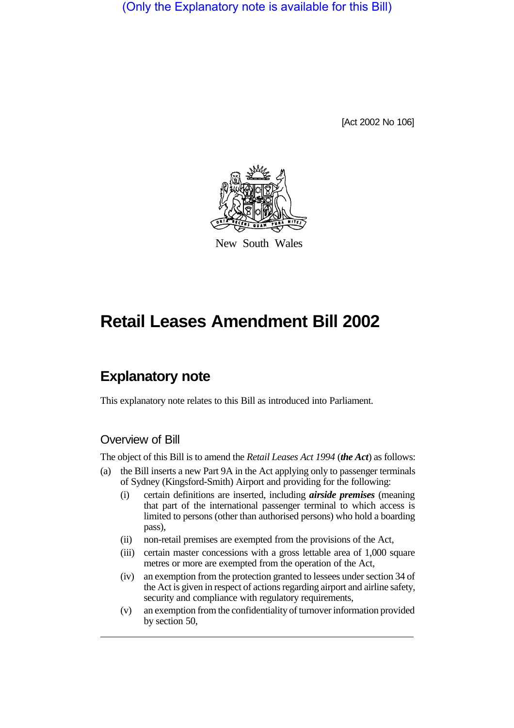(Only the Explanatory note is available for this Bill)

[Act 2002 No 106]



New South Wales

# **Retail Leases Amendment Bill 2002**

## **Explanatory note**

This explanatory note relates to this Bill as introduced into Parliament.

#### Overview of Bill

The object of this Bill is to amend the *Retail Leases Act 1994* (*the Act*) as follows:

- (a) the Bill inserts a new Part 9A in the Act applying only to passenger terminals of Sydney (Kingsford-Smith) Airport and providing for the following:
	- (i) certain definitions are inserted, including *airside premises* (meaning that part of the international passenger terminal to which access is limited to persons (other than authorised persons) who hold a boarding pass),
	- (ii) non-retail premises are exempted from the provisions of the Act,
	- (iii) certain master concessions with a gross lettable area of 1,000 square metres or more are exempted from the operation of the Act,
	- (iv) an exemption from the protection granted to lessees under section 34 of the Act is given in respect of actions regarding airport and airline safety, security and compliance with regulatory requirements,
	- (v) an exemption from the confidentiality of turnover information provided by section 50,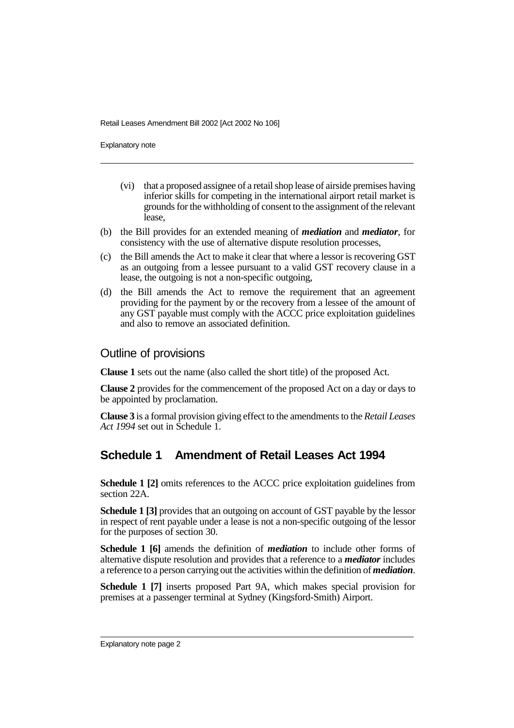Retail Leases Amendment Bill 2002 [Act 2002 No 106]

Explanatory note

- (vi) that a proposed assignee of a retail shop lease of airside premises having inferior skills for competing in the international airport retail market is grounds for the withholding of consent to the assignment of the relevant lease,
- (b) the Bill provides for an extended meaning of *mediation* and *mediator*, for consistency with the use of alternative dispute resolution processes,
- (c) the Bill amends the Act to make it clear that where a lessor is recovering GST as an outgoing from a lessee pursuant to a valid GST recovery clause in a lease, the outgoing is not a non-specific outgoing,
- (d) the Bill amends the Act to remove the requirement that an agreement providing for the payment by or the recovery from a lessee of the amount of any GST payable must comply with the ACCC price exploitation guidelines and also to remove an associated definition.

#### Outline of provisions

**Clause 1** sets out the name (also called the short title) of the proposed Act.

**Clause 2** provides for the commencement of the proposed Act on a day or days to be appointed by proclamation.

**Clause 3** is a formal provision giving effect to the amendments to the *Retail Leases Act 1994* set out in Schedule 1.

### **Schedule 1 Amendment of Retail Leases Act 1994**

**Schedule 1 [2]** omits references to the ACCC price exploitation guidelines from section 22A.

**Schedule 1 [3]** provides that an outgoing on account of GST payable by the lessor in respect of rent payable under a lease is not a non-specific outgoing of the lessor for the purposes of section 30.

**Schedule 1 [6]** amends the definition of *mediation* to include other forms of alternative dispute resolution and provides that a reference to a *mediator* includes a reference to a person carrying out the activities within the definition of *mediation*.

**Schedule 1 [7]** inserts proposed Part 9A, which makes special provision for premises at a passenger terminal at Sydney (Kingsford-Smith) Airport.

Explanatory note page 2